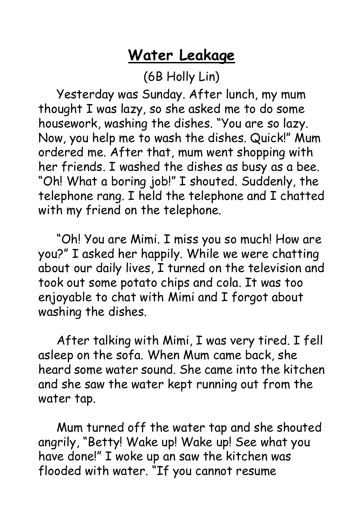## **Water Leakage**

(6B Holly Lin)

 Yesterday was Sunday. After lunch, my mum thought I was lazy, so she asked me to do some housework, washing the dishes. "You are so lazy. Now, you help me to wash the dishes. Quick!" Mum ordered me. After that, mum went shopping with her friends. I washed the dishes as busy as a bee. "Oh! What a boring job!" I shouted. Suddenly, the telephone rang. I held the telephone and I chatted with my friend on the telephone.

 "Oh! You are Mimi. I miss you so much! How are you?" I asked her happily. While we were chatting about our daily lives, I turned on the television and took out some potato chips and cola. It was too enjoyable to chat with Mimi and I forgot about washing the dishes.

 After talking with Mimi, I was very tired. I fell asleep on the sofa. When Mum came back, she heard some water sound. She came into the kitchen and she saw the water kept running out from the water tap.

 Mum turned off the water tap and she shouted angrily, "Betty! Wake up! Wake up! See what you have done!" I woke up an saw the kitchen was flooded with water. "If you cannot resume